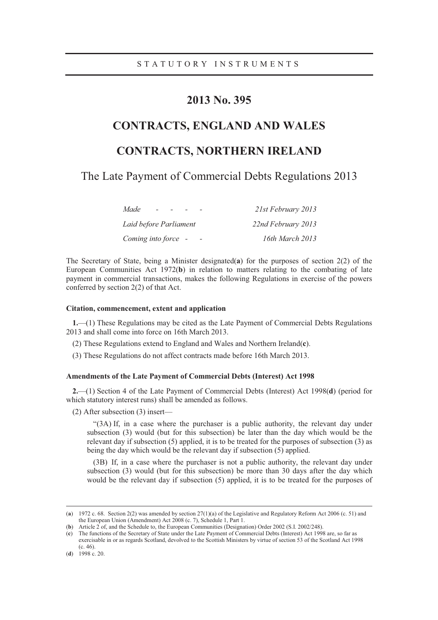## **2013 No. 395**

# **CONTRACTS, ENGLAND AND WALES**

## **CONTRACTS, NORTHERN IRELAND**

The Late Payment of Commercial Debts Regulations 2013

| Made                   | 21st February 2013 |
|------------------------|--------------------|
| Laid before Parliament | 22nd February 2013 |
| Coming into force -    | 16th March 2013    |

The Secretary of State, being a Minister designated(**a**) for the purposes of section 2(2) of the European Communities Act 1972(**b**) in relation to matters relating to the combating of late payment in commercial transactions, makes the following Regulations in exercise of the powers conferred by section 2(2) of that Act.

#### **Citation, commencement, extent and application**

**1.**—(1) These Regulations may be cited as the Late Payment of Commercial Debts Regulations 2013 and shall come into force on 16th March 2013.

- (2) These Regulations extend to England and Wales and Northern Ireland(**c**).
- (3) These Regulations do not affect contracts made before 16th March 2013.

### **Amendments of the Late Payment of Commercial Debts (Interest) Act 1998**

**2.**—(1) Section 4 of the Late Payment of Commercial Debts (Interest) Act 1998(**d**) (period for which statutory interest runs) shall be amended as follows.

(2) After subsection (3) insert—

"(3A) If, in a case where the purchaser is a public authority, the relevant day under subsection (3) would (but for this subsection) be later than the day which would be the relevant day if subsection (5) applied, it is to be treated for the purposes of subsection (3) as being the day which would be the relevant day if subsection (5) applied.

(3B) If, in a case where the purchaser is not a public authority, the relevant day under subsection (3) would (but for this subsection) be more than 30 days after the day which would be the relevant day if subsection (5) applied, it is to be treated for the purposes of

 <sup>(</sup>**<sup>a</sup>**) 1972 c. 68. Section 2(2) was amended by section 27(1)(a) of the Legislative and Regulatory Reform Act 2006 (c. 51) and the European Union (Amendment) Act 2008 (c. 7), Schedule 1, Part 1.

<sup>(</sup>**b**) Article 2 of, and the Schedule to, the European Communities (Designation) Order 2002 (S.I. 2002/248).

<sup>(</sup>**c**) The functions of the Secretary of State under the Late Payment of Commercial Debts (Interest) Act 1998 are, so far as exercisable in or as regards Scotland, devolved to the Scottish Ministers by virtue of section 53 of the Scotland Act 1998 (c. 46).

<sup>(</sup>**d**) 1998 c. 20.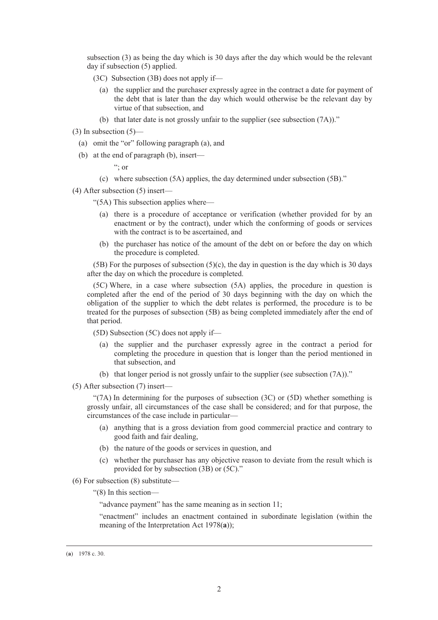subsection (3) as being the day which is 30 days after the day which would be the relevant day if subsection (5) applied.

- (3C) Subsection (3B) does not apply if—
	- (a) the supplier and the purchaser expressly agree in the contract a date for payment of the debt that is later than the day which would otherwise be the relevant day by virtue of that subsection, and
	- (b) that later date is not grossly unfair to the supplier (see subsection (7A))."

 $(3)$  In subsection  $(5)$ —

- (a) omit the "or" following paragraph (a), and
- (b) at the end of paragraph (b), insert—

 $\cdot$ ; or

(c) where subsection (5A) applies, the day determined under subsection (5B)."

(4) After subsection (5) insert—

"(5A) This subsection applies where—

- (a) there is a procedure of acceptance or verification (whether provided for by an enactment or by the contract), under which the conforming of goods or services with the contract is to be ascertained, and
- (b) the purchaser has notice of the amount of the debt on or before the day on which the procedure is completed.

(5B) For the purposes of subsection (5)(c), the day in question is the day which is 30 days after the day on which the procedure is completed.

(5C) Where, in a case where subsection (5A) applies, the procedure in question is completed after the end of the period of 30 days beginning with the day on which the obligation of the supplier to which the debt relates is performed, the procedure is to be treated for the purposes of subsection (5B) as being completed immediately after the end of that period.

(5D) Subsection (5C) does not apply if—

- (a) the supplier and the purchaser expressly agree in the contract a period for completing the procedure in question that is longer than the period mentioned in that subsection, and
- (b) that longer period is not grossly unfair to the supplier (see subsection (7A))."
- (5) After subsection (7) insert—

"(7A) In determining for the purposes of subsection  $(3C)$  or  $(5D)$  whether something is grossly unfair, all circumstances of the case shall be considered; and for that purpose, the circumstances of the case include in particular—

- (a) anything that is a gross deviation from good commercial practice and contrary to good faith and fair dealing,
- (b) the nature of the goods or services in question, and
- (c) whether the purchaser has any objective reason to deviate from the result which is provided for by subsection (3B) or (5C)."
- (6) For subsection (8) substitute—
	- "(8) In this section—

"advance payment" has the same meaning as in section 11;

"enactment" includes an enactment contained in subordinate legislation (within the meaning of the Interpretation Act 1978(**a**));

 <sup>(</sup>**<sup>a</sup>**) 1978 c. 30.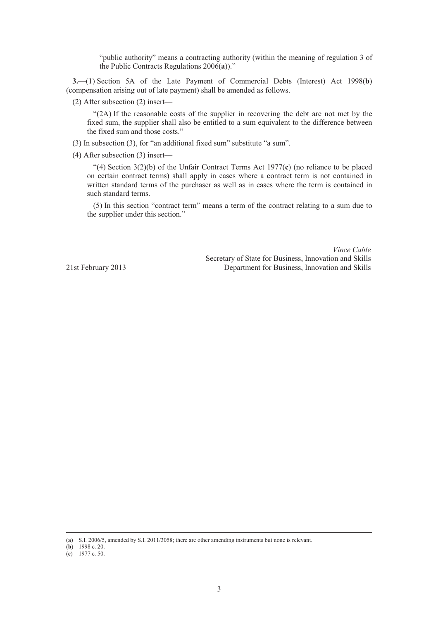"public authority" means a contracting authority (within the meaning of regulation 3 of the Public Contracts Regulations 2006(**a**))."

**3.**—(1) Section 5A of the Late Payment of Commercial Debts (Interest) Act 1998(**b**) (compensation arising out of late payment) shall be amended as follows.

(2) After subsection (2) insert—

"(2A) If the reasonable costs of the supplier in recovering the debt are not met by the fixed sum, the supplier shall also be entitled to a sum equivalent to the difference between the fixed sum and those costs."

- (3) In subsection (3), for "an additional fixed sum" substitute "a sum".
- (4) After subsection (3) insert—

"(4) Section 3(2)(b) of the Unfair Contract Terms Act 1977(**c**) (no reliance to be placed on certain contract terms) shall apply in cases where a contract term is not contained in written standard terms of the purchaser as well as in cases where the term is contained in such standard terms.

(5) In this section "contract term" means a term of the contract relating to a sum due to the supplier under this section."

*Vince Cable* Secretary of State for Business, Innovation and Skills 21st February 2013 Department for Business, Innovation and Skills

 <sup>(</sup>**<sup>a</sup>**) S.I. 2006/5, amended by S.I. 2011/3058; there are other amending instruments but none is relevant.

<sup>(</sup>**b**) 1998 c. 20.

<sup>(</sup>**c**) 1977 c. 50.